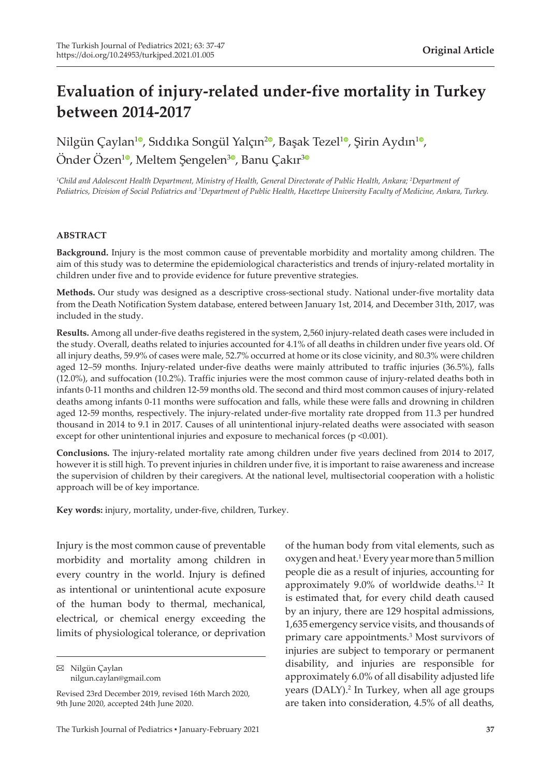# **Evaluation of injury-related under-five mortality in Turkey between 2014-2017**

Nilgün Çaylan<sup>[1](https://orcid.org/0000-0002-7564-8245)0</sup>[,](https://orcid.org/0000-0001-9280-6746) Sıddıka Songül Yalçın<sup>20</sup>, Başak Tezel<sup>10</sup>, Şirin Aydın<sup>10</sup>, Önder Özen<sup>[1](https://orcid.org/0000-0001-8123-8210)0</sup>, Meltem Şengelen<sup>[3](https://orcid.org/0000-0001-6645-6527)0</sup>, Banu Çakır<sup>30</sup>

<sup>1</sup>Child and Adolescent Health Department, Ministry of Health, General Directorate of Public Health, Ankara; <sup>2</sup>Department of *Pediatrics, Division of Social Pediatrics and 3 Department of Public Health, Hacettepe University Faculty of Medicine, Ankara, Turkey.*

#### **ABSTRACT**

**Background.** Injury is the most common cause of preventable morbidity and mortality among children. The aim of this study was to determine the epidemiological characteristics and trends of injury-related mortality in children under five and to provide evidence for future preventive strategies.

**Methods.** Our study was designed as a descriptive cross-sectional study. National under-five mortality data from the Death Notification System database, entered between January 1st, 2014, and December 31th, 2017, was included in the study.

**Results.** Among all under-five deaths registered in the system, 2,560 injury-related death cases were included in the study. Overall, deaths related to injuries accounted for 4.1% of all deaths in children under five years old. Of all injury deaths, 59.9% of cases were male, 52.7% occurred at home or its close vicinity, and 80.3% were children aged 12–59 months. Injury-related under-five deaths were mainly attributed to traffic injuries (36.5%), falls (12.0%), and suffocation (10.2%). Traffic injuries were the most common cause of injury-related deaths both in infants 0-11 months and children 12-59 months old. The second and third most common causes of injury-related deaths among infants 0-11 months were suffocation and falls, while these were falls and drowning in children aged 12-59 months, respectively. The injury-related under-five mortality rate dropped from 11.3 per hundred thousand in 2014 to 9.1 in 2017. Causes of all unintentional injury-related deaths were associated with season except for other unintentional injuries and exposure to mechanical forces (p <0.001).

**Conclusions.** The injury-related mortality rate among children under five years declined from 2014 to 2017, however it is still high. To prevent injuries in children under five, it is important to raise awareness and increase the supervision of children by their caregivers. At the national level, multisectorial cooperation with a holistic approach will be of key importance.

**Key words:** injury, mortality, under-five, children, Turkey.

Injury is the most common cause of preventable morbidity and mortality among children in every country in the world. Injury is defined as intentional or unintentional acute exposure of the human body to thermal, mechanical, electrical, or chemical energy exceeding the limits of physiological tolerance, or deprivation

Nilgün Çaylan nilgun.caylan@gmail.com of the human body from vital elements, such as oxygen and heat.1 Every year more than 5 million people die as a result of injuries, accounting for approximately 9.0% of worldwide deaths.<sup>1,2</sup> It is estimated that, for every child death caused by an injury, there are 129 hospital admissions, 1,635 emergency service visits, and thousands of primary care appointments.3 Most survivors of injuries are subject to temporary or permanent disability, and injuries are responsible for approximately 6.0% of all disability adjusted life years (DALY).<sup>2</sup> In Turkey, when all age groups are taken into consideration, 4.5% of all deaths,

Revised 23rd December 2019, revised 16th March 2020, 9th June 2020, accepted 24th June 2020.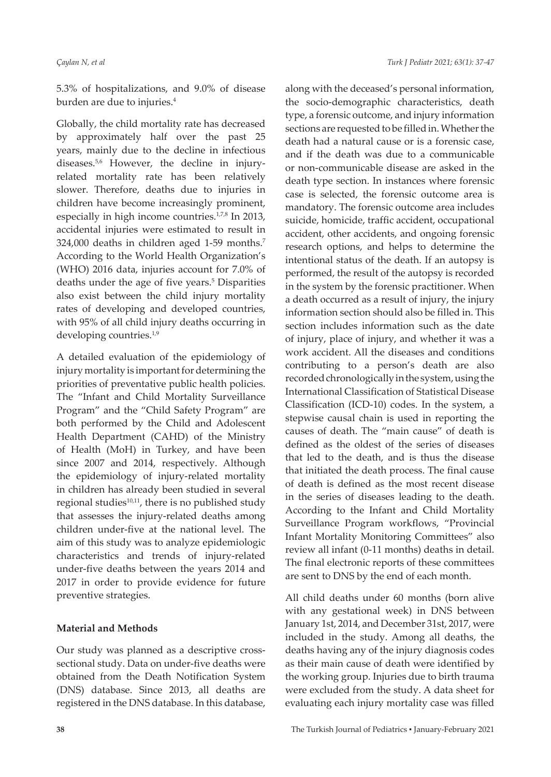5.3% of hospitalizations, and 9.0% of disease burden are due to injuries.4

Globally, the child mortality rate has decreased by approximately half over the past 25 years, mainly due to the decline in infectious diseases.<sup>5,6</sup> However, the decline in injuryrelated mortality rate has been relatively slower. Therefore, deaths due to injuries in children have become increasingly prominent, especially in high income countries.<sup>1,7,8</sup> In 2013, accidental injuries were estimated to result in 324,000 deaths in children aged 1-59 months.7 According to the World Health Organization's (WHO) 2016 data, injuries account for 7.0% of deaths under the age of five years.<sup>5</sup> Disparities also exist between the child injury mortality rates of developing and developed countries, with 95% of all child injury deaths occurring in developing countries.<sup>1,9</sup>

A detailed evaluation of the epidemiology of injury mortality is important for determining the priorities of preventative public health policies. The "Infant and Child Mortality Surveillance Program" and the "Child Safety Program" are both performed by the Child and Adolescent Health Department (CAHD) of the Ministry of Health (MoH) in Turkey, and have been since 2007 and 2014, respectively. Although the epidemiology of injury-related mortality in children has already been studied in several regional studies $10,11$ , there is no published study that assesses the injury-related deaths among children under-five at the national level. The aim of this study was to analyze epidemiologic characteristics and trends of injury-related under-five deaths between the years 2014 and 2017 in order to provide evidence for future preventive strategies.

# **Material and Methods**

Our study was planned as a descriptive crosssectional study. Data on under-five deaths were obtained from the Death Notification System (DNS) database. Since 2013, all deaths are registered in the DNS database. In this database, along with the deceased's personal information, the socio-demographic characteristics, death type, a forensic outcome, and injury information sections are requested to be filled in. Whether the death had a natural cause or is a forensic case, and if the death was due to a communicable or non-communicable disease are asked in the death type section. In instances where forensic case is selected, the forensic outcome area is mandatory. The forensic outcome area includes suicide, homicide, traffic accident, occupational accident, other accidents, and ongoing forensic research options, and helps to determine the intentional status of the death. If an autopsy is performed, the result of the autopsy is recorded in the system by the forensic practitioner. When a death occurred as a result of injury, the injury information section should also be filled in. This section includes information such as the date of injury, place of injury, and whether it was a work accident. All the diseases and conditions contributing to a person's death are also recorded chronologically in the system, using the International Classification of Statistical Disease Classification (ICD-10) codes. In the system, a stepwise causal chain is used in reporting the causes of death. The "main cause" of death is defined as the oldest of the series of diseases that led to the death, and is thus the disease that initiated the death process. The final cause of death is defined as the most recent disease in the series of diseases leading to the death. According to the Infant and Child Mortality Surveillance Program workflows, "Provincial Infant Mortality Monitoring Committees" also review all infant (0-11 months) deaths in detail. The final electronic reports of these committees are sent to DNS by the end of each month.

All child deaths under 60 months (born alive with any gestational week) in DNS between January 1st, 2014, and December 31st, 2017, were included in the study. Among all deaths, the deaths having any of the injury diagnosis codes as their main cause of death were identified by the working group. Injuries due to birth trauma were excluded from the study. A data sheet for evaluating each injury mortality case was filled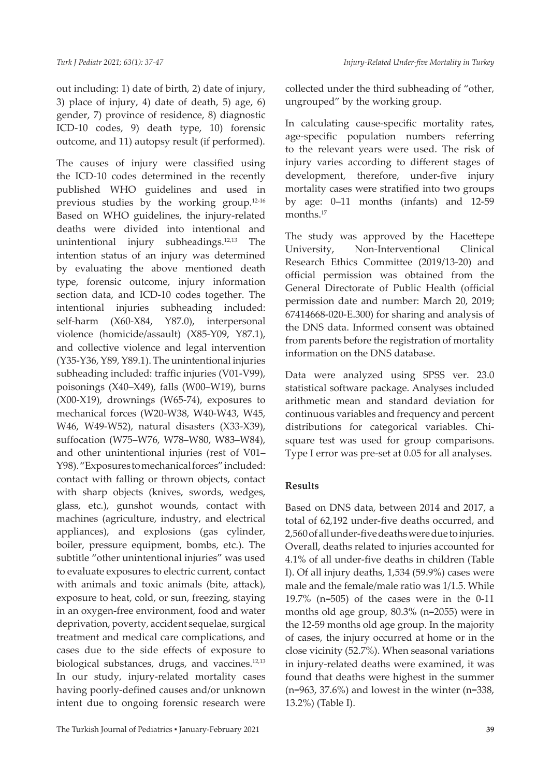out including: 1) date of birth, 2) date of injury, 3) place of injury, 4) date of death, 5) age, 6) gender, 7) province of residence, 8) diagnostic ICD-10 codes, 9) death type, 10) forensic outcome, and 11) autopsy result (if performed).

The causes of injury were classified using the ICD-10 codes determined in the recently published WHO guidelines and used in previous studies by the working group.12-16 Based on WHO guidelines, the injury-related deaths were divided into intentional and unintentional injury subheadings.<sup>12,13</sup> The intention status of an injury was determined by evaluating the above mentioned death type, forensic outcome, injury information section data, and ICD-10 codes together. The intentional injuries subheading included: self-harm (X60-X84, Y87.0), interpersonal violence (homicide/assault) (X85-Y09, Y87.1), and collective violence and legal intervention (Y35-Y36, Y89, Y89.1). The unintentional injuries subheading included: traffic injuries (V01-V99), poisonings (X40–X49), falls (W00–W19), burns (X00-X19), drownings (W65-74), exposures to mechanical forces (W20-W38, W40-W43, W45, W46, W49-W52), natural disasters (X33-X39), suffocation (W75–W76, W78–W80, W83–W84), and other unintentional injuries (rest of V01– Y98). "Exposures to mechanical forces" included: contact with falling or thrown objects, contact with sharp objects (knives, swords, wedges, glass, etc.), gunshot wounds, contact with machines (agriculture, industry, and electrical appliances), and explosions (gas cylinder, boiler, pressure equipment, bombs, etc.). The subtitle "other unintentional injuries" was used to evaluate exposures to electric current, contact with animals and toxic animals (bite, attack), exposure to heat, cold, or sun, freezing, staying in an oxygen-free environment, food and water deprivation, poverty, accident sequelae, surgical treatment and medical care complications, and cases due to the side effects of exposure to biological substances, drugs, and vaccines.<sup>12,13</sup> In our study, injury-related mortality cases having poorly-defined causes and/or unknown intent due to ongoing forensic research were

collected under the third subheading of "other, ungrouped" by the working group.

In calculating cause-specific mortality rates, age-specific population numbers referring to the relevant years were used. The risk of injury varies according to different stages of development, therefore, under-five injury mortality cases were stratified into two groups by age: 0–11 months (infants) and 12-59 months.<sup>17</sup>

The study was approved by the Hacettepe University, Non-Interventional Clinical Research Ethics Committee (2019/13-20) and official permission was obtained from the General Directorate of Public Health (official permission date and number: March 20, 2019; 67414668-020-E.300) for sharing and analysis of the DNS data. Informed consent was obtained from parents before the registration of mortality information on the DNS database.

Data were analyzed using SPSS ver. 23.0 statistical software package. Analyses included arithmetic mean and standard deviation for continuous variables and frequency and percent distributions for categorical variables. Chisquare test was used for group comparisons. Type I error was pre-set at 0.05 for all analyses.

# **Results**

Based on DNS data, between 2014 and 2017, a total of 62,192 under-five deaths occurred, and 2,560 of all under-five deaths were due to injuries. Overall, deaths related to injuries accounted for 4.1% of all under-five deaths in children (Table I). Of all injury deaths, 1,534 (59.9%) cases were male and the female/male ratio was 1/1.5. While 19.7% (n=505) of the cases were in the 0-11 months old age group, 80.3% (n=2055) were in the 12-59 months old age group. In the majority of cases, the injury occurred at home or in the close vicinity (52.7%). When seasonal variations in injury-related deaths were examined, it was found that deaths were highest in the summer (n=963, 37.6%) and lowest in the winter (n=338, 13.2%) (Table I).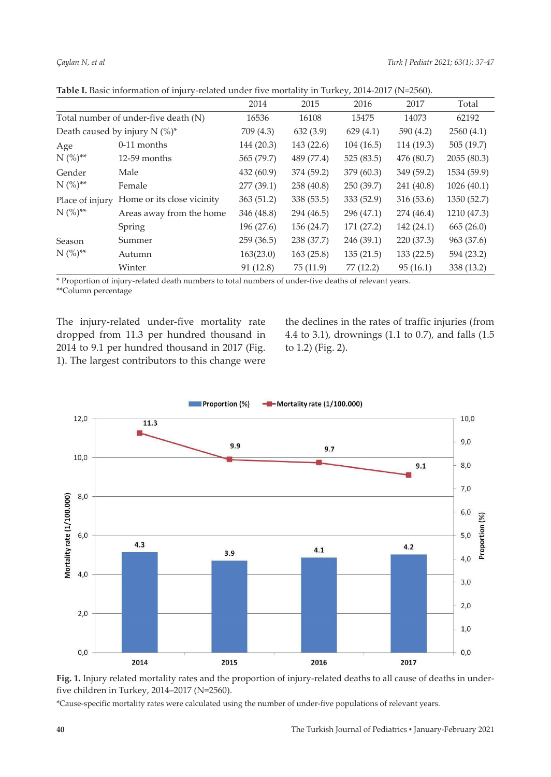|                                      |                            | 2014       | 2015       | 2016       | 2017       | Total       |
|--------------------------------------|----------------------------|------------|------------|------------|------------|-------------|
| Total number of under-five death (N) |                            | 16536      | 16108      | 15475      | 14073      | 62192       |
| Death caused by injury N (%)*        |                            | 709 (4.3)  | 632(3.9)   | 629(4.1)   | 590 (4.2)  | 2560(4.1)   |
| Age<br>$N (%)^{**}$                  | $0-11$ months              | 144 (20.3) | 143 (22.6) | 104(16.5)  | 114 (19.3) | 505(19.7)   |
|                                      | 12-59 months               | 565 (79.7) | 489 (77.4) | 525(83.5)  | 476 (80.7) | 2055(80.3)  |
| Gender<br>$N (%)^{**}$               | Male                       | 432 (60.9) | 374 (59.2) | 379 (60.3) | 349 (59.2) | 1534 (59.9) |
|                                      | Female                     | 277 (39.1) | 258 (40.8) | 250 (39.7) | 241 (40.8) | 1026(40.1)  |
| Place of injury<br>$N (%)^{**}$      | Home or its close vicinity | 363(51.2)  | 338 (53.5) | 333(52.9)  | 316 (53.6) | 1350 (52.7) |
|                                      | Areas away from the home   | 346 (48.8) | 294 (46.5) | 296 (47.1) | 274 (46.4) | 1210 (47.3) |
|                                      | Spring                     | 196 (27.6) | 156 (24.7) | 171 (27.2) | 142 (24.1) | 665(26.0)   |
| Season<br>$N (%)^{**}$               | Summer                     | 259(36.5)  | 238 (37.7) | 246 (39.1) | 220 (37.3) | 963 (37.6)  |
|                                      | Autumn                     | 163(23.0)  | 163(25.8)  | 135(21.5)  | 133(22.5)  | 594 (23.2)  |
|                                      | Winter                     | 91 (12.8)  | 75(11.9)   | 77 (12.2)  | 95(16.1)   | 338 (13.2)  |

Table I. Basic information of injury-related under five mortality in Turkey, 2014-2017 (N=2560).

\* Proportion of injury-related death numbers to total numbers of under-five deaths of relevant years. \*\*Column percentage

The injury-related under-five mortality rate dropped from 11.3 per hundred thousand in 2014 to 9.1 per hundred thousand in 2017 (Fig. 1). The largest contributors to this change were the declines in the rates of traffic injuries (from 4.4 to 3.1), drownings (1.1 to 0.7), and falls (1.5 to 1.2) (Fig. 2).





\*Cause-specific mortality rates were calculated using the number of under-five populations of relevant years.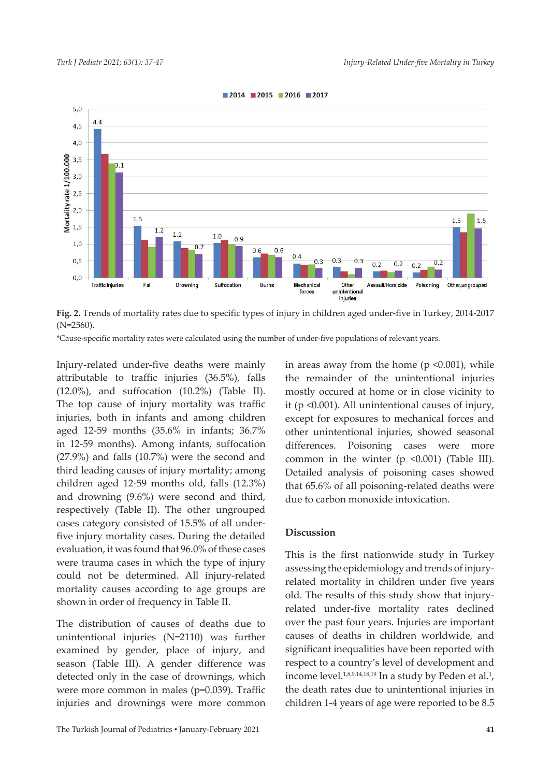

 $2014$  2015 2016 2017

**Fig. 2.** Trends of mortality rates due to specific types of injury in children aged under-five in Turkey, 2014-2017 (N=2560).

\*Cause-specific mortality rates were calculated using the number of under-five populations of relevant years.

Injury-related under-five deaths were mainly attributable to traffic injuries (36.5%), falls (12.0%), and suffocation (10.2%) (Table II). The top cause of injury mortality was traffic injuries, both in infants and among children aged 12-59 months (35.6% in infants; 36.7% in 12-59 months). Among infants, suffocation (27.9%) and falls (10.7%) were the second and third leading causes of injury mortality; among children aged 12-59 months old, falls (12.3%) and drowning (9.6%) were second and third, respectively (Table II). The other ungrouped cases category consisted of 15.5% of all underfive injury mortality cases. During the detailed evaluation, it was found that 96.0% of these cases were trauma cases in which the type of injury could not be determined. All injury-related mortality causes according to age groups are shown in order of frequency in Table II.

The distribution of causes of deaths due to unintentional injuries (N=2110) was further examined by gender, place of injury, and season (Table III). A gender difference was detected only in the case of drownings, which were more common in males (p=0.039). Traffic injuries and drownings were more common in areas away from the home ( $p \le 0.001$ ), while the remainder of the unintentional injuries mostly occured at home or in close vicinity to it (p <0.001). All unintentional causes of injury, except for exposures to mechanical forces and other unintentional injuries, showed seasonal differences. Poisoning cases were more common in the winter (p <0.001) (Table III). Detailed analysis of poisoning cases showed that 65.6% of all poisoning-related deaths were due to carbon monoxide intoxication.

#### **Discussion**

This is the first nationwide study in Turkey assessing the epidemiology and trends of injuryrelated mortality in children under five years old. The results of this study show that injuryrelated under-five mortality rates declined over the past four years. Injuries are important causes of deaths in children worldwide, and significant inequalities have been reported with respect to a country's level of development and income level.<sup>1,8,9,14,18,19</sup> In a study by Peden et al.<sup>1</sup>, the death rates due to unintentional injuries in children 1-4 years of age were reported to be 8.5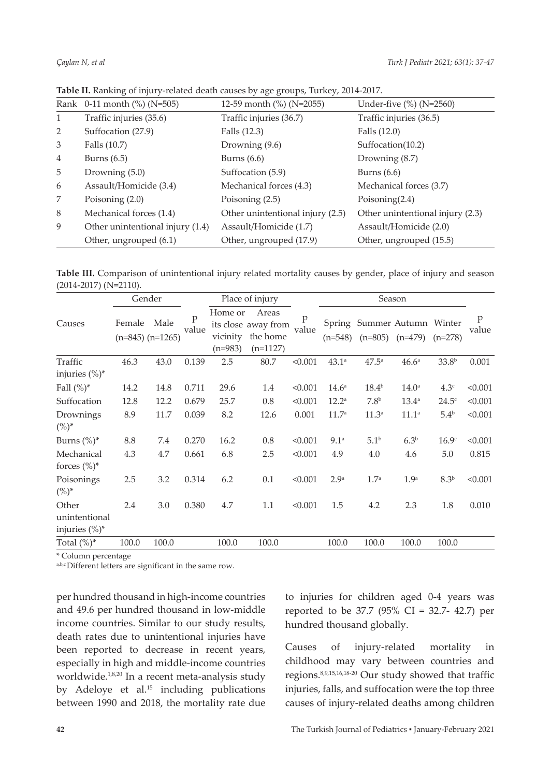|                | Rank 0-11 month (%) (N=505)      | 12-59 month (%) (N=2055)         | Under-five (%) (N=2560)          |  |  |
|----------------|----------------------------------|----------------------------------|----------------------------------|--|--|
| 1              | Traffic injuries (35.6)          | Traffic injuries (36.7)          | Traffic injuries (36.5)          |  |  |
| 2              | Suffocation (27.9)               | Falls (12.3)                     | Falls (12.0)                     |  |  |
| 3              | Falls (10.7)                     | Drowning (9.6)                   | Suffocation(10.2)                |  |  |
| $\overline{4}$ | Burns $(6.5)$                    | Burns $(6.6)$                    | Drowning (8.7)                   |  |  |
| 5              | Drowning $(5.0)$                 | Suffocation (5.9)                | Burns $(6.6)$                    |  |  |
| 6              | Assault/Homicide (3.4)           | Mechanical forces (4.3)          | Mechanical forces (3.7)          |  |  |
| 7              | Poisoning $(2.0)$                | Poisoning (2.5)                  | Poisoning $(2.4)$                |  |  |
| 8              | Mechanical forces (1.4)          | Other unintentional injury (2.5) | Other unintentional injury (2.3) |  |  |
| 9              | Other unintentional injury (1.4) | Assault/Homicide (1.7)           | Assault/Homicide (2.0)           |  |  |
|                | Other, ungrouped (6.1)           | Other, ungrouped (17.9)          | Other, ungrouped (15.5)          |  |  |

**Table II.** Ranking of injury-related death causes by age groups, Turkey, 2014-2017.

**Table III.** Comparison of unintentional injury related mortality causes by gender, place of injury and season (2014-2017) (N=2110).

|                                             | Gender |                              |            | Place of injury                  |                                                        |                      | Season            |                             |                     |                   |            |
|---------------------------------------------|--------|------------------------------|------------|----------------------------------|--------------------------------------------------------|----------------------|-------------------|-----------------------------|---------------------|-------------------|------------|
| Causes                                      | Female | Male<br>$(n=845)$ $(n=1265)$ | p<br>value | Home or<br>vicinity<br>$(n=983)$ | Areas<br>its close away from<br>the home<br>$(n=1127)$ | $\mathbf p$<br>value | $(n=548)$         | Spring Summer Autumn Winter | $(n=805)$ $(n=479)$ | $(n=278)$         | p<br>value |
| Traffic<br>injuries $(\%)^*$                | 46.3   | 43.0                         | 0.139      | 2.5                              | 80.7                                                   | < 0.001              | $43.1^a$          | $47.5^{\circ}$              | 46.6 <sup>a</sup>   | 33.8 <sup>b</sup> | 0.001      |
| Fall $(\%)^*$                               | 14.2   | 14.8                         | 0.711      | 29.6                             | 1.4                                                    | < 0.001              | 14.6 <sup>a</sup> | $18.4^{b}$                  | $14.0^{\circ}$      | 4.3 <sup>c</sup>  | < 0.001    |
| Suffocation                                 | 12.8   | 12.2                         | 0.679      | 25.7                             | 0.8                                                    | < 0.001              | $12.2^a$          | 7.8 <sup>b</sup>            | $13.4^{\circ}$      | $24.5^{\circ}$    | < 0.001    |
| Drownings<br>$(\%)^*$                       | 8.9    | 11.7                         | 0.039      | 8.2                              | 12.6                                                   | 0.001                | 11.7 <sup>a</sup> | 11.3 <sup>a</sup>           | 11.1 <sup>a</sup>   | 5.4 <sup>b</sup>  | < 0.001    |
| Burns $(\%)^*$                              | 8.8    | 7.4                          | 0.270      | 16.2                             | 0.8                                                    | < 0.001              | 9.1 <sup>a</sup>  | 5.1 <sup>b</sup>            | 6.3 <sup>b</sup>    | 16.9 <sup>c</sup> | < 0.001    |
| Mechanical<br>forces $(\%)^*$               | 4.3    | 4.7                          | 0.661      | 6.8                              | 2.5                                                    | < 0.001              | 4.9               | 4.0                         | 4.6                 | 5.0               | 0.815      |
| Poisonings<br>$(\%)^*$                      | 2.5    | 3.2                          | 0.314      | 6.2                              | 0.1                                                    | < 0.001              | 2.9 <sup>a</sup>  | 1.7 <sup>a</sup>            | 1.9 <sup>a</sup>    | 8.3 <sup>b</sup>  | < 0.001    |
| Other<br>unintentional<br>injuries $(\%)^*$ | 2.4    | 3.0                          | 0.380      | 4.7                              | 1.1                                                    | < 0.001              | 1.5               | 4.2                         | 2.3                 | 1.8               | 0.010      |
| Total $(\%)^*$                              | 100.0  | 100.0                        |            | 100.0                            | 100.0                                                  |                      | 100.0             | 100.0                       | 100.0               | 100.0             |            |

\* Column percentage

a,b,c Different letters are significant in the same row.

per hundred thousand in high-income countries and 49.6 per hundred thousand in low-middle income countries. Similar to our study results, death rates due to unintentional injuries have been reported to decrease in recent years, especially in high and middle-income countries worldwide.<sup>1,8,20</sup> In a recent meta-analysis study by Adeloye et al.<sup>15</sup> including publications between 1990 and 2018, the mortality rate due to injuries for children aged 0-4 years was reported to be 37.7 (95% CI = 32.7- 42.7) per hundred thousand globally.

Causes of injury-related mortality in childhood may vary between countries and regions.8,9,15,16,18-20 Our study showed that traffic injuries, falls, and suffocation were the top three causes of injury-related deaths among children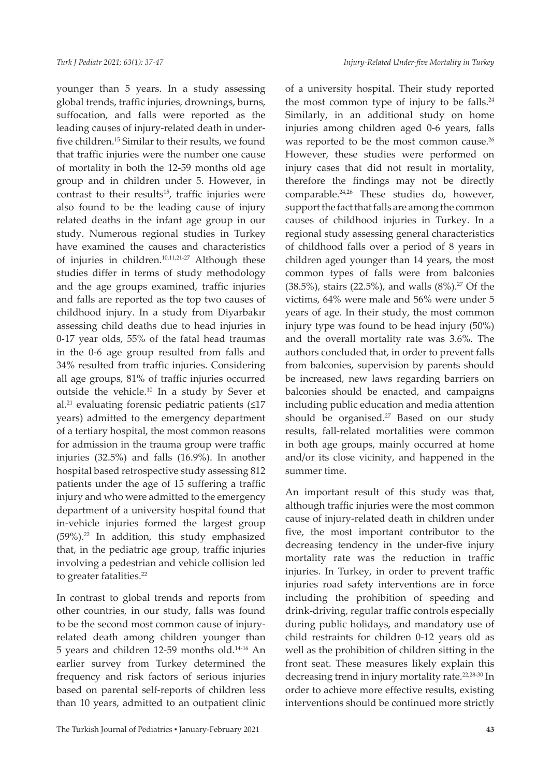younger than 5 years. In a study assessing global trends, traffic injuries, drownings, burns, suffocation, and falls were reported as the leading causes of injury-related death in underfive children.15 Similar to their results, we found that traffic injuries were the number one cause of mortality in both the 12-59 months old age group and in children under 5. However, in contrast to their results $15$ , traffic injuries were also found to be the leading cause of injury related deaths in the infant age group in our study. Numerous regional studies in Turkey have examined the causes and characteristics of injuries in children.10,11,21-27 Although these studies differ in terms of study methodology and the age groups examined, traffic injuries and falls are reported as the top two causes of childhood injury. In a study from Diyarbakır assessing child deaths due to head injuries in 0-17 year olds, 55% of the fatal head traumas in the 0-6 age group resulted from falls and 34% resulted from traffic injuries. Considering all age groups, 81% of traffic injuries occurred outside the vehicle.10 In a study by Sever et al.<sup>21</sup> evaluating forensic pediatric patients  $(≤17)$ years) admitted to the emergency department of a tertiary hospital, the most common reasons for admission in the trauma group were traffic injuries (32.5%) and falls (16.9%). In another hospital based retrospective study assessing 812 patients under the age of 15 suffering a traffic injury and who were admitted to the emergency department of a university hospital found that in-vehicle injuries formed the largest group (59%).22 In addition, this study emphasized that, in the pediatric age group, traffic injuries involving a pedestrian and vehicle collision led to greater fatalities.<sup>22</sup>

In contrast to global trends and reports from other countries, in our study, falls was found to be the second most common cause of injuryrelated death among children younger than 5 years and children 12-59 months old.14-16 An earlier survey from Turkey determined the frequency and risk factors of serious injuries based on parental self-reports of children less than 10 years, admitted to an outpatient clinic of a university hospital. Their study reported the most common type of injury to be falls. $24$ Similarly, in an additional study on home injuries among children aged 0-6 years, falls was reported to be the most common cause.<sup>26</sup> However, these studies were performed on injury cases that did not result in mortality, therefore the findings may not be directly comparable.<sup>24,26</sup> These studies do, however, support the fact that falls are among the common causes of childhood injuries in Turkey. In a regional study assessing general characteristics of childhood falls over a period of 8 years in children aged younger than 14 years, the most common types of falls were from balconies (38.5%), stairs (22.5%), and walls  $(8\%)$ .<sup>27</sup> Of the victims, 64% were male and 56% were under 5 years of age. In their study, the most common injury type was found to be head injury (50%) and the overall mortality rate was 3.6%. The authors concluded that, in order to prevent falls from balconies, supervision by parents should be increased, new laws regarding barriers on balconies should be enacted, and campaigns including public education and media attention should be organised.<sup>27</sup> Based on our study results, fall-related mortalities were common in both age groups, mainly occurred at home and/or its close vicinity, and happened in the summer time.

An important result of this study was that, although traffic injuries were the most common cause of injury-related death in children under five, the most important contributor to the decreasing tendency in the under-five injury mortality rate was the reduction in traffic injuries. In Turkey, in order to prevent traffic injuries road safety interventions are in force including the prohibition of speeding and drink-driving, regular traffic controls especially during public holidays, and mandatory use of child restraints for children 0-12 years old as well as the prohibition of children sitting in the front seat. These measures likely explain this decreasing trend in injury mortality rate.22,28-30 In order to achieve more effective results, existing interventions should be continued more strictly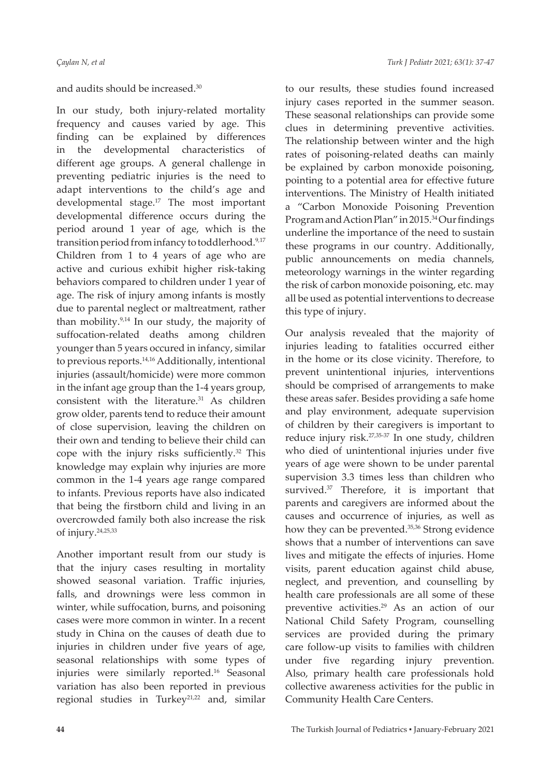# and audits should be increased.30

In our study, both injury-related mortality frequency and causes varied by age. This finding can be explained by differences in the developmental characteristics of different age groups. A general challenge in preventing pediatric injuries is the need to adapt interventions to the child's age and developmental stage.<sup>17</sup> The most important developmental difference occurs during the period around 1 year of age, which is the transition period from infancy to toddlerhood.9,17 Children from 1 to 4 years of age who are active and curious exhibit higher risk-taking behaviors compared to children under 1 year of age. The risk of injury among infants is mostly due to parental neglect or maltreatment, rather than mobility.9,14 In our study, the majority of suffocation-related deaths among children younger than 5 years occured in infancy, similar to previous reports.<sup>14,16</sup> Additionally, intentional injuries (assault/homicide) were more common in the infant age group than the 1-4 years group, consistent with the literature.<sup>31</sup> As children grow older, parents tend to reduce their amount of close supervision, leaving the children on their own and tending to believe their child can cope with the injury risks sufficiently.<sup>32</sup> This knowledge may explain why injuries are more common in the 1-4 years age range compared to infants. Previous reports have also indicated that being the firstborn child and living in an overcrowded family both also increase the risk of injury.24,25,33

Another important result from our study is that the injury cases resulting in mortality showed seasonal variation. Traffic injuries, falls, and drownings were less common in winter, while suffocation, burns, and poisoning cases were more common in winter. In a recent study in China on the causes of death due to injuries in children under five years of age, seasonal relationships with some types of injuries were similarly reported.<sup>16</sup> Seasonal variation has also been reported in previous regional studies in Turkey<sup>21,22</sup> and, similar

to our results, these studies found increased injury cases reported in the summer season. These seasonal relationships can provide some clues in determining preventive activities. The relationship between winter and the high rates of poisoning-related deaths can mainly be explained by carbon monoxide poisoning, pointing to a potential area for effective future interventions. The Ministry of Health initiated a "Carbon Monoxide Poisoning Prevention Program and Action Plan" in 2015.34 Our findings underline the importance of the need to sustain these programs in our country. Additionally, public announcements on media channels, meteorology warnings in the winter regarding the risk of carbon monoxide poisoning, etc. may all be used as potential interventions to decrease this type of injury.

Our analysis revealed that the majority of injuries leading to fatalities occurred either in the home or its close vicinity. Therefore, to prevent unintentional injuries, interventions should be comprised of arrangements to make these areas safer. Besides providing a safe home and play environment, adequate supervision of children by their caregivers is important to reduce injury risk.27,35-37 In one study, children who died of unintentional injuries under five years of age were shown to be under parental supervision 3.3 times less than children who survived.<sup>37</sup> Therefore, it is important that parents and caregivers are informed about the causes and occurrence of injuries, as well as how they can be prevented.<sup>35,36</sup> Strong evidence shows that a number of interventions can save lives and mitigate the effects of injuries. Home visits, parent education against child abuse, neglect, and prevention, and counselling by health care professionals are all some of these preventive activities.29 As an action of our National Child Safety Program, counselling services are provided during the primary care follow-up visits to families with children under five regarding injury prevention. Also, primary health care professionals hold collective awareness activities for the public in Community Health Care Centers.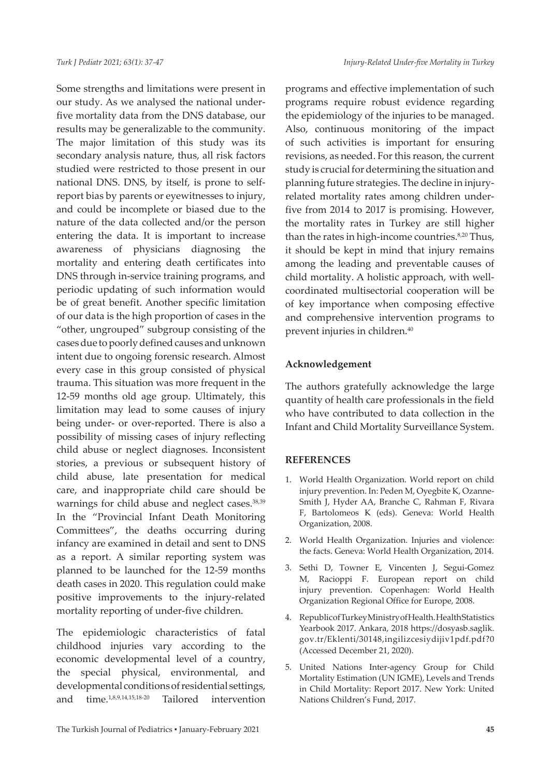Some strengths and limitations were present in our study. As we analysed the national underfive mortality data from the DNS database, our results may be generalizable to the community. The major limitation of this study was its secondary analysis nature, thus, all risk factors studied were restricted to those present in our national DNS. DNS, by itself, is prone to selfreport bias by parents or eyewitnesses to injury, and could be incomplete or biased due to the nature of the data collected and/or the person entering the data. It is important to increase awareness of physicians diagnosing the mortality and entering death certificates into DNS through in-service training programs, and periodic updating of such information would be of great benefit. Another specific limitation of our data is the high proportion of cases in the "other, ungrouped" subgroup consisting of the cases due to poorly defined causes and unknown intent due to ongoing forensic research. Almost every case in this group consisted of physical trauma. This situation was more frequent in the 12-59 months old age group. Ultimately, this limitation may lead to some causes of injury being under- or over-reported. There is also a possibility of missing cases of injury reflecting child abuse or neglect diagnoses. Inconsistent stories, a previous or subsequent history of child abuse, late presentation for medical care, and inappropriate child care should be warnings for child abuse and neglect cases.<sup>38,39</sup> In the "Provincial Infant Death Monitoring Committees", the deaths occurring during infancy are examined in detail and sent to DNS as a report. A similar reporting system was planned to be launched for the 12-59 months death cases in 2020. This regulation could make positive improvements to the injury-related mortality reporting of under-five children.

The epidemiologic characteristics of fatal childhood injuries vary according to the economic developmental level of a country, the special physical, environmental, and developmental conditions of residential settings, and time.1,8,9,14,15,18-20 Tailored intervention

programs and effective implementation of such programs require robust evidence regarding the epidemiology of the injuries to be managed. Also, continuous monitoring of the impact of such activities is important for ensuring revisions, as needed. For this reason, the current study is crucial for determining the situation and planning future strategies. The decline in injuryrelated mortality rates among children underfive from 2014 to 2017 is promising. However, the mortality rates in Turkey are still higher than the rates in high-income countries.<sup>8,20</sup> Thus, it should be kept in mind that injury remains among the leading and preventable causes of child mortality. A holistic approach, with wellcoordinated multisectorial cooperation will be of key importance when composing effective and comprehensive intervention programs to prevent injuries in children.<sup>40</sup>

#### **Acknowledgement**

The authors gratefully acknowledge the large quantity of health care professionals in the field who have contributed to data collection in the Infant and Child Mortality Surveillance System.

# **REFERENCES**

- 1. World Health Organization. World report on child injury prevention. In: Peden M, Oyegbite K, Ozanne-Smith J, Hyder AA, Branche C, Rahman F, Rivara F, Bartolomeos K (eds). Geneva: World Health Organization, 2008.
- 2. World Health Organization. Injuries and violence: the facts. Geneva: World Health Organization, 2014.
- 3. Sethi D, Towner E, Vincenten J, Segui-Gomez M, Racioppi F. European report on child injury prevention. Copenhagen: World Health Organization Regional Office for Europe, 2008.
- 4. Republic of Turkey Ministry of Health. Health Statistics Yearbook 2017. Ankara, 2018 https://dosyasb.saglik. gov.tr/Eklenti/30148,ingilizcesiydijiv1pdf.pdf?0 (Accessed December 21, 2020).
- 5. United Nations Inter-agency Group for Child Mortality Estimation (UN IGME), Levels and Trends in Child Mortality: Report 2017. New York: United Nations Children's Fund, 2017.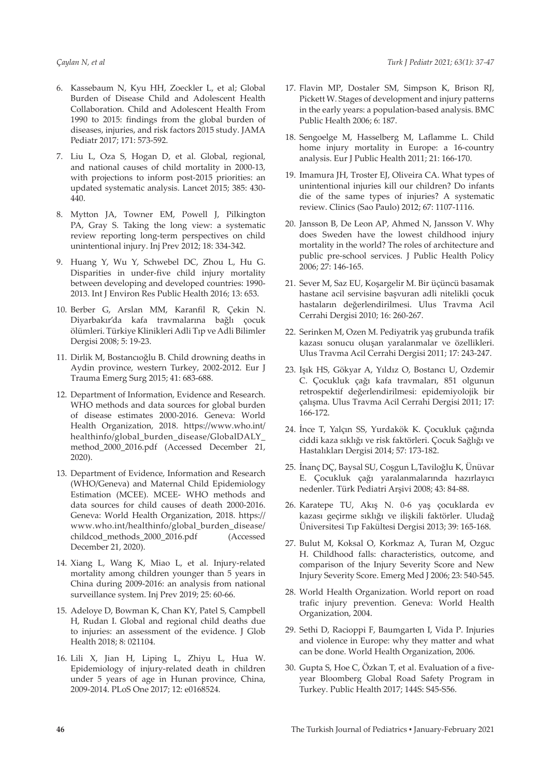- 6. Kassebaum N, Kyu HH, Zoeckler L, et al; Global Burden of Disease Child and Adolescent Health Collaboration. Child and Adolescent Health From 1990 to 2015: findings from the global burden of diseases, injuries, and risk factors 2015 study. JAMA Pediatr 2017; 171: 573-592.
- 7. Liu L, Oza S, Hogan D, et al. Global, regional, and national causes of child mortality in 2000-13, with projections to inform post-2015 priorities: an updated systematic analysis. Lancet 2015; 385: 430- 440.
- 8. Mytton JA, Towner EM, Powell J, Pilkington PA, Gray S. Taking the long view: a systematic review reporting long-term perspectives on child unintentional injury. Inj Prev 2012; 18: 334-342.
- 9. Huang Y, Wu Y, Schwebel DC, Zhou L, Hu G. Disparities in under-five child injury mortality between developing and developed countries: 1990- 2013. Int J Environ Res Public Health 2016; 13: 653.
- 10. Berber G, Arslan MM, Karanfil R, Çekin N. Diyarbakır'da kafa travmalarına bağlı çocuk ölümleri. Türkiye Klinikleri Adli Tıp ve Adli Bilimler Dergisi 2008; 5: 19-23.
- 11. Dirlik M, Bostancıoğlu B. Child drowning deaths in Aydin province, western Turkey, 2002-2012. Eur J Trauma Emerg Surg 2015; 41: 683-688.
- 12. Department of Information, Evidence and Research. WHO methods and data sources for global burden of disease estimates 2000-2016. Geneva: World Health Organization, 2018. https://www.who.int/ healthinfo/global\_burden\_disease/GlobalDALY\_ method\_2000\_2016.pdf (Accessed December 21, 2020).
- 13. Department of Evidence, Information and Research (WHO/Geneva) and Maternal Child Epidemiology Estimation (MCEE). MCEE- WHO methods and data sources for child causes of death 2000-2016. Geneva: World Health Organization, 2018. https:// www.who.int/healthinfo/global\_burden\_disease/ childcod\_methods\_2000\_2016.pdf (Accessed December 21, 2020).
- 14. Xiang L, Wang K, Miao L, et al. Injury-related mortality among children younger than 5 years in China during 2009-2016: an analysis from national surveillance system. Inj Prev 2019; 25: 60-66.
- 15. Adeloye D, Bowman K, Chan KY, Patel S, Campbell H, Rudan I. Global and regional child deaths due to injuries: an assessment of the evidence. J Glob Health 2018; 8: 021104.
- 16. Lili X, Jian H, Liping L, Zhiyu L, Hua W. Epidemiology of injury-related death in children under 5 years of age in Hunan province, China, 2009-2014. PLoS One 2017; 12: e0168524.
- 17. Flavin MP, Dostaler SM, Simpson K, Brison RJ, Pickett W. Stages of development and injury patterns in the early years: a population-based analysis. BMC Public Health 2006; 6: 187.
- 18. Sengoelge M, Hasselberg M, Laflamme L. Child home injury mortality in Europe: a 16-country analysis. Eur J Public Health 2011; 21: 166-170.
- 19. Imamura JH, Troster EJ, Oliveira CA. What types of unintentional injuries kill our children? Do infants die of the same types of injuries? A systematic review. Clinics (Sao Paulo) 2012; 67: 1107-1116.
- 20. Jansson B, De Leon AP, Ahmed N, Jansson V. Why does Sweden have the lowest childhood injury mortality in the world? The roles of architecture and public pre-school services. J Public Health Policy 2006; 27: 146-165.
- 21. Sever M, Saz EU, Koşargelir M. Bir üçüncü basamak hastane acil servisine başvuran adli nitelikli çocuk hastaların değerlendirilmesi. Ulus Travma Acil Cerrahi Dergisi 2010; 16: 260-267.
- 22. Serinken M, Ozen M. Pediyatrik yaş grubunda trafik kazası sonucu oluşan yaralanmalar ve özellikleri. Ulus Travma Acil Cerrahi Dergisi 2011; 17: 243-247.
- 23. Işık HS, Gökyar A, Yıldız O, Bostancı U, Ozdemir C. Çocukluk çağı kafa travmaları, 851 olgunun retrospektif değerlendirilmesi: epidemiyolojik bir çalışma. Ulus Travma Acil Cerrahi Dergisi 2011; 17: 166-172.
- 24. İnce T, Yalçın SS, Yurdakök K. Çocukluk çağında ciddi kaza sıklığı ve risk faktörleri. Çocuk Sağlığı ve Hastalıkları Dergisi 2014; 57: 173-182.
- 25. İnanç DÇ, Baysal SU, Coşgun L,Taviloğlu K, Ünüvar E. Çocukluk çağı yaralanmalarında hazırlayıcı nedenler. Türk Pediatri Arşivi 2008; 43: 84-88.
- 26. Karatepe TU, Akış N. 0-6 yaş çocuklarda ev kazası geçirme sıklığı ve ilişkili faktörler. Uludağ Üniversitesi Tıp Fakültesi Dergisi 2013; 39: 165-168.
- 27. Bulut M, Koksal O, Korkmaz A, Turan M, Ozguc H. Childhood falls: characteristics, outcome, and comparison of the Injury Severity Score and New Injury Severity Score. Emerg Med J 2006; 23: 540-545.
- 28. World Health Organization. World report on road trafic injury prevention. Geneva: World Health Organization, 2004.
- 29. Sethi D, Racioppi F, Baumgarten I, Vida P. Injuries and violence in Europe: why they matter and what can be done. World Health Organization, 2006.
- 30. Gupta S, Hoe C, Özkan T, et al. Evaluation of a fiveyear Bloomberg Global Road Safety Program in Turkey. Public Health 2017; 144S: S45-S56.